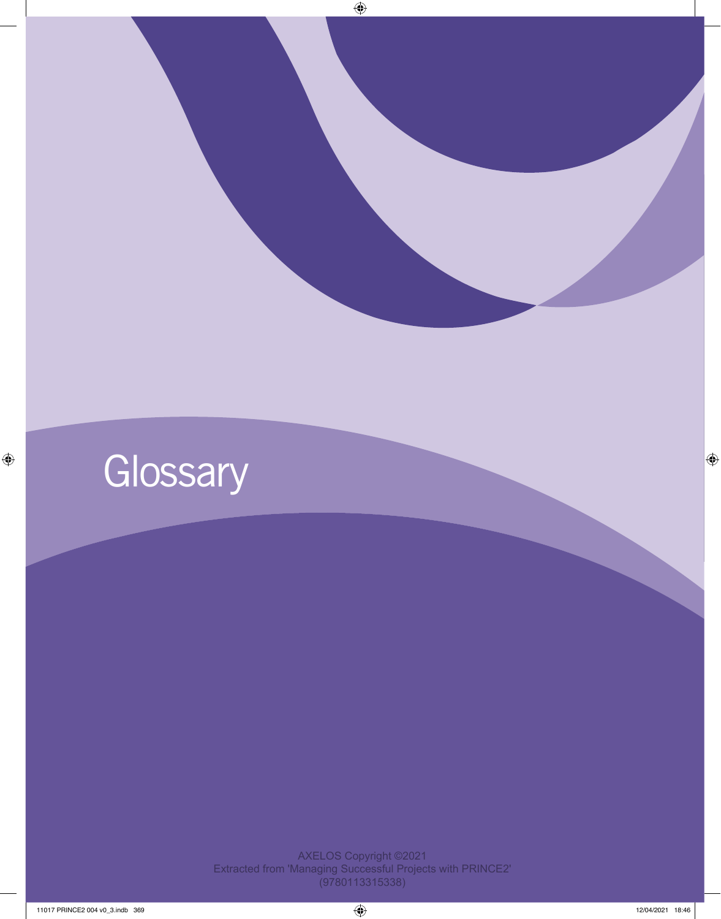

# **Glossary**

AXELOS Copyright ©2021 Extracted from 'Managing Successful Projects with PRINCE2' (9780113315338)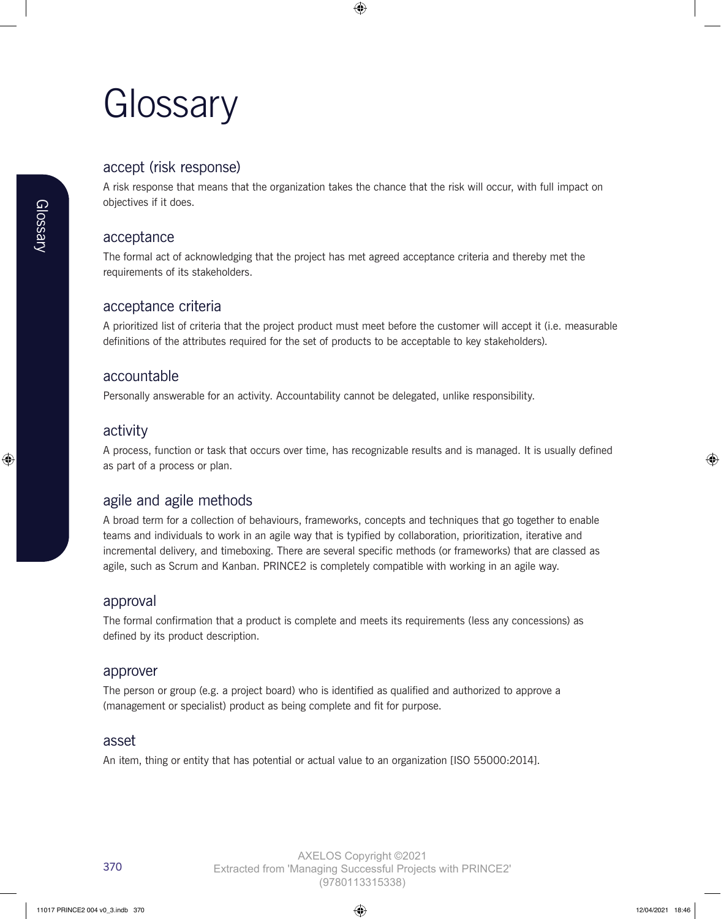# **Glossary**

# accept (risk response)

A risk response that means that the organization takes the chance that the risk will occur, with full impact on objectives if it does.

# acceptance

The formal act of acknowledging that the project has met agreed acceptance criteria and thereby met the requirements of its stakeholders.

# acceptance criteria

A prioritized list of criteria that the project product must meet before the customer will accept it (i.e. measurable definitions of the attributes required for the set of products to be acceptable to key stakeholders).

## accountable

Personally answerable for an activity. Accountability cannot be delegated, unlike responsibility.

# activity

A process, function or task that occurs over time, has recognizable results and is managed. It is usually defined as part of a process or plan.

# agile and agile methods

A broad term for a collection of behaviours, frameworks, concepts and techniques that go together to enable teams and individuals to work in an agile way that is typified by collaboration, prioritization, iterative and incremental delivery, and timeboxing. There are several specific methods (or frameworks) that are classed as agile, such as Scrum and Kanban. PRINCE2 is completely compatible with working in an agile way.

## approval

The formal confirmation that a product is complete and meets its requirements (less any concessions) as defined by its product description.

#### approver

The person or group (e.g. a project board) who is identified as qualified and authorized to approve a (management or specialist) product as being complete and fit for purpose.

#### asset

An item, thing or entity that has potential or actual value to an organization [ISO 55000:2014].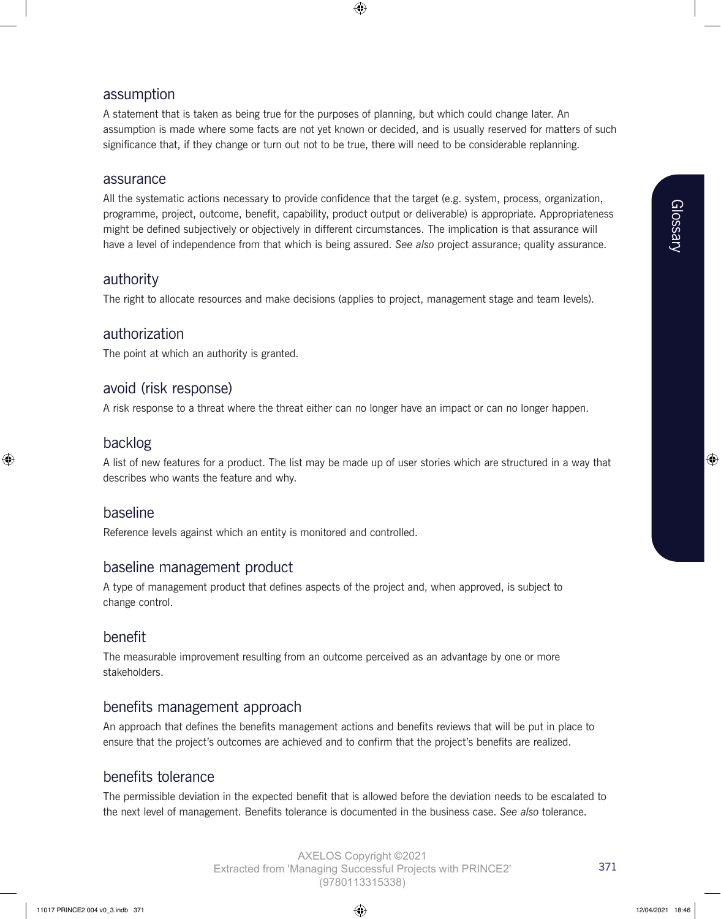# assumption

A statement that is taken as being true for the purposes of planning, but which could change later. An assumption is made where some facts are not yet known or decided, and is usually reserved for matters of such significance that, if they change or turn out not to be true, there will need to be considerable replanning.

#### assurance

All the systematic actions necessary to provide confidence that the target (e.g. system, process, organization, programme, project, outcome, benefit, capability, product output or deliverable) is appropriate. Appropriateness might be defined subjectively or objectively in different circumstances. The implication is that assurance will have a level of independence from that which is being assured. *See also* project assurance; quality assurance.

# authority

The right to allocate resources and make decisions (applies to project, management stage and team levels).

# authorization

The point at which an authority is granted.

# avoid (risk response)

A risk response to a threat where the threat either can no longer have an impact or can no longer happen.

# backlog

A list of new features for a product. The list may be made up of user stories which are structured in a way that describes who wants the feature and why.

## baseline

Reference levels against which an entity is monitored and controlled.

# baseline management product

A type of management product that defines aspects of the project and, when approved, is subject to change control.

# benefit

The measurable improvement resulting from an outcome perceived as an advantage by one or more stakeholders.

# benefits management approach

An approach that defines the benefits management actions and benefits reviews that will be put in place to ensure that the project's outcomes are achieved and to confirm that the project's benefits are realized.

# benefits tolerance

The permissible deviation in the expected benefit that is allowed before the deviation needs to be escalated to the next level of management. Benefits tolerance is documented in the business case. *See also* tolerance.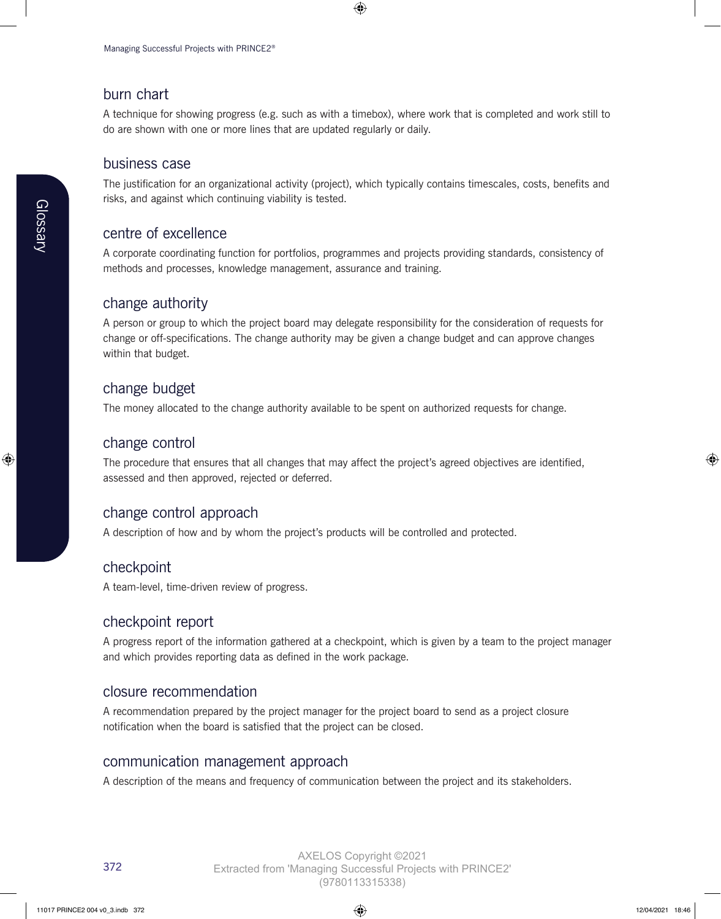# burn chart

A technique for showing progress (e.g. such as with a timebox), where work that is completed and work still to do are shown with one or more lines that are updated regularly or daily.

#### business case

The justification for an organizational activity (project), which typically contains timescales, costs, benefits and risks, and against which continuing viability is tested.

# centre of excellence

A corporate coordinating function for portfolios, programmes and projects providing standards, consistency of methods and processes, knowledge management, assurance and training.

#### change authority

A person or group to which the project board may delegate responsibility for the consideration of requests for change or off-specifications. The change authority may be given a change budget and can approve changes within that budget.

#### change budget

The money allocated to the change authority available to be spent on authorized requests for change.

#### change control

The procedure that ensures that all changes that may affect the project's agreed objectives are identified, assessed and then approved, rejected or deferred.

#### change control approach

A description of how and by whom the project's products will be controlled and protected.

# checkpoint

A team-level, time-driven review of progress.

#### checkpoint report

A progress report of the information gathered at a checkpoint, which is given by a team to the project manager and which provides reporting data as defined in the work package.

#### closure recommendation

A recommendation prepared by the project manager for the project board to send as a project closure notification when the board is satisfied that the project can be closed.

#### communication management approach

A description of the means and frequency of communication between the project and its stakeholders.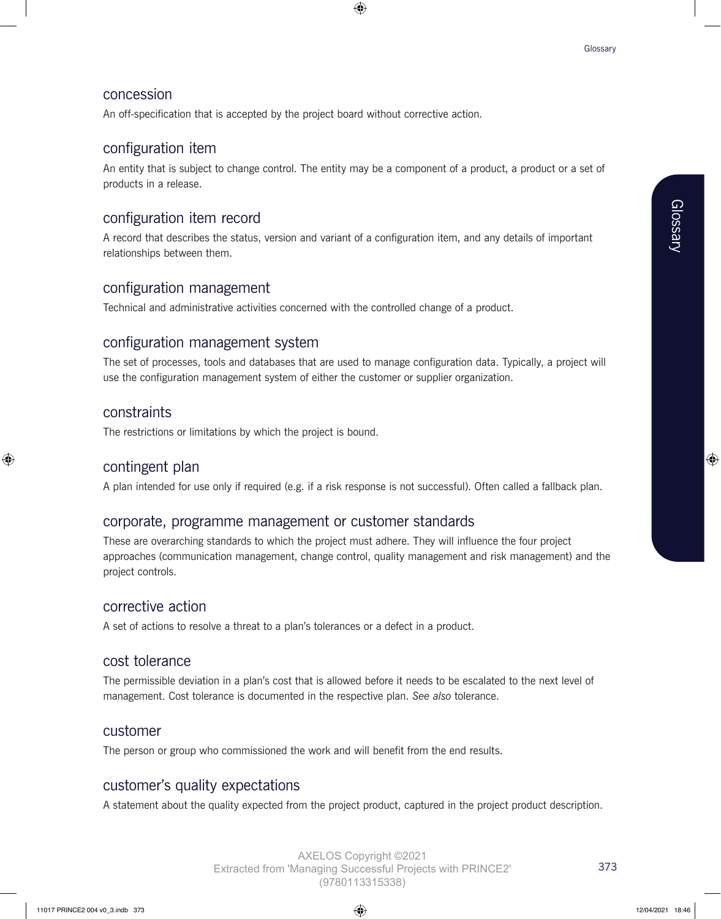## concession

An off-specification that is accepted by the project board without corrective action.

# configuration item

An entity that is subject to change control. The entity may be a component of a product, a product or a set of products in a release.

# configuration item record

A record that describes the status, version and variant of a configuration item, and any details of important relationships between them.

# configuration management

Technical and administrative activities concerned with the controlled change of a product.

# configuration management system

The set of processes, tools and databases that are used to manage configuration data. Typically, a project will use the configuration management system of either the customer or supplier organization.

# constraints

The restrictions or limitations by which the project is bound.

# contingent plan

A plan intended for use only if required (e.g. if a risk response is not successful). Often called a fallback plan.

# corporate, programme management or customer standards

These are overarching standards to which the project must adhere. They will influence the four project approaches (communication management, change control, quality management and risk management) and the project controls.

# corrective action

A set of actions to resolve a threat to a plan's tolerances or a defect in a product.

#### cost tolerance

The permissible deviation in a plan's cost that is allowed before it needs to be escalated to the next level of management. Cost tolerance is documented in the respective plan. *See also* tolerance.

#### customer

The person or group who commissioned the work and will benefit from the end results.

# customer's quality expectations

A statement about the quality expected from the project product, captured in the project product description.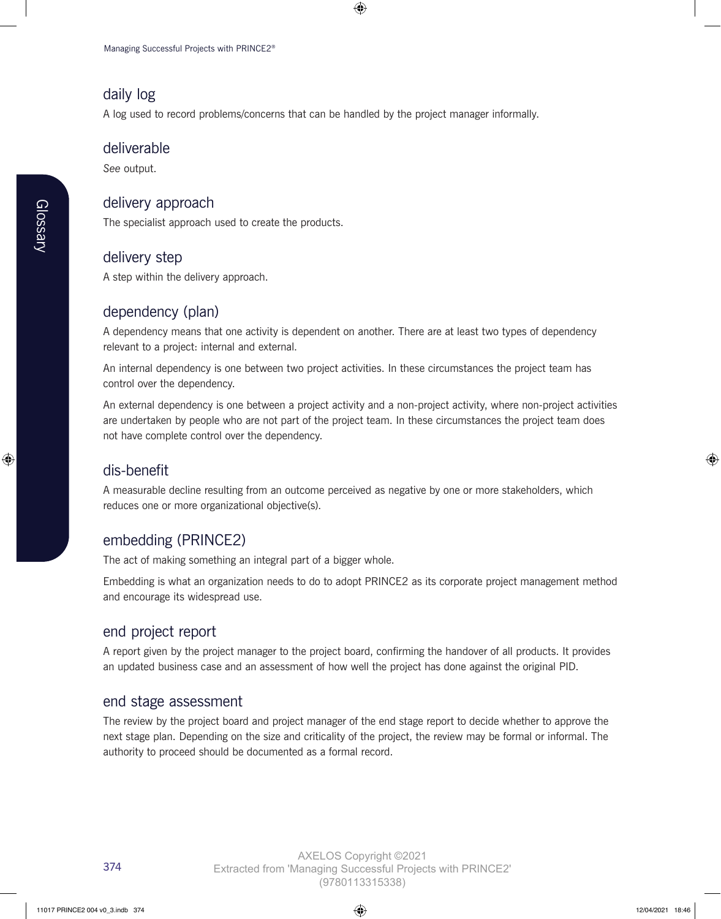# daily log

A log used to record problems/concerns that can be handled by the project manager informally.

## deliverable

*See* output.

## delivery approach

The specialist approach used to create the products.

## delivery step

A step within the delivery approach.

# dependency (plan)

A dependency means that one activity is dependent on another. There are at least two types of dependency relevant to a project: internal and external.

An internal dependency is one between two project activities. In these circumstances the project team has control over the dependency.

An external dependency is one between a project activity and a non-project activity, where non-project activities are undertaken by people who are not part of the project team. In these circumstances the project team does not have complete control over the dependency.

## dis-benefit

A measurable decline resulting from an outcome perceived as negative by one or more stakeholders, which reduces one or more organizational objective(s).

# embedding (PRINCE2)

The act of making something an integral part of a bigger whole.

Embedding is what an organization needs to do to adopt PRINCE2 as its corporate project management method and encourage its widespread use.

## end project report

A report given by the project manager to the project board, confirming the handover of all products. It provides an updated business case and an assessment of how well the project has done against the original PID.

#### end stage assessment

The review by the project board and project manager of the end stage report to decide whether to approve the next stage plan. Depending on the size and criticality of the project, the review may be formal or informal. The authority to proceed should be documented as a formal record.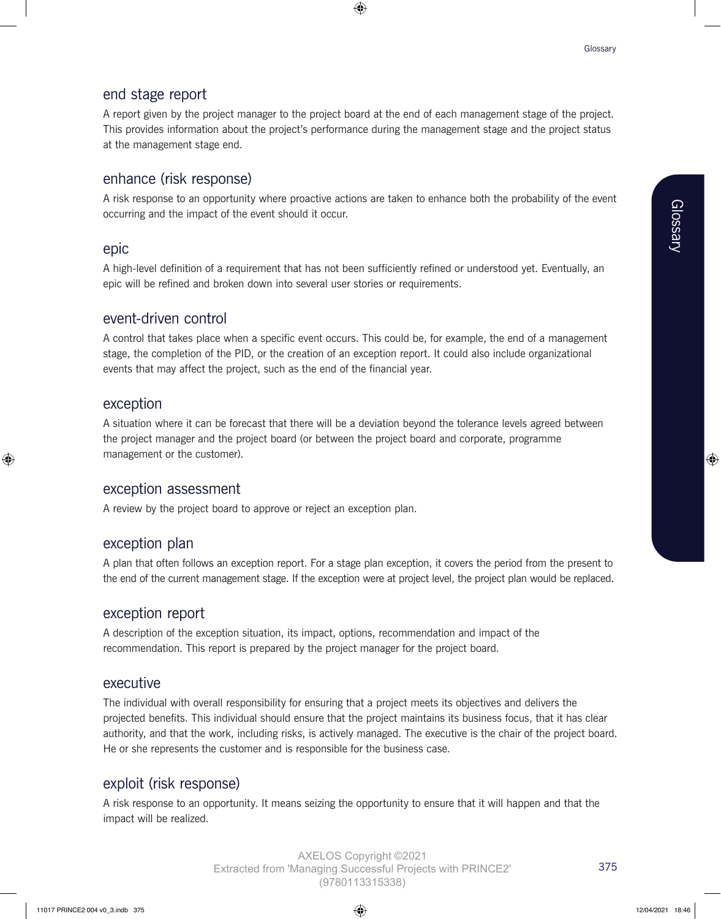### end stage report

A report given by the project manager to the project board at the end of each management stage of the project. This provides information about the project's performance during the management stage and the project status at the management stage end.

### enhance (risk response)

A risk response to an opportunity where proactive actions are taken to enhance both the probability of the event occurring and the impact of the event should it occur.

#### epic

A high-level definition of a requirement that has not been sufficiently refined or understood yet. Eventually, an epic will be refined and broken down into several user stories or requirements.

#### event-driven control

A control that takes place when a specific event occurs. This could be, for example, the end of a management stage, the completion of the PID, or the creation of an exception report. It could also include organizational events that may affect the project, such as the end of the financial year.

#### exception

A situation where it can be forecast that there will be a deviation beyond the tolerance levels agreed between the project manager and the project board (or between the project board and corporate, programme management or the customer).

#### exception assessment

A review by the project board to approve or reject an exception plan.

#### exception plan

A plan that often follows an exception report. For a stage plan exception, it covers the period from the present to the end of the current management stage. If the exception were at project level, the project plan would be replaced.

#### exception report

A description of the exception situation, its impact, options, recommendation and impact of the recommendation. This report is prepared by the project manager for the project board.

#### executive

The individual with overall responsibility for ensuring that a project meets its objectives and delivers the projected benefits. This individual should ensure that the project maintains its business focus, that it has clear authority, and that the work, including risks, is actively managed. The executive is the chair of the project board. He or she represents the customer and is responsible for the business case.

#### exploit (risk response)

A risk response to an opportunity. It means seizing the opportunity to ensure that it will happen and that the impact will be realized.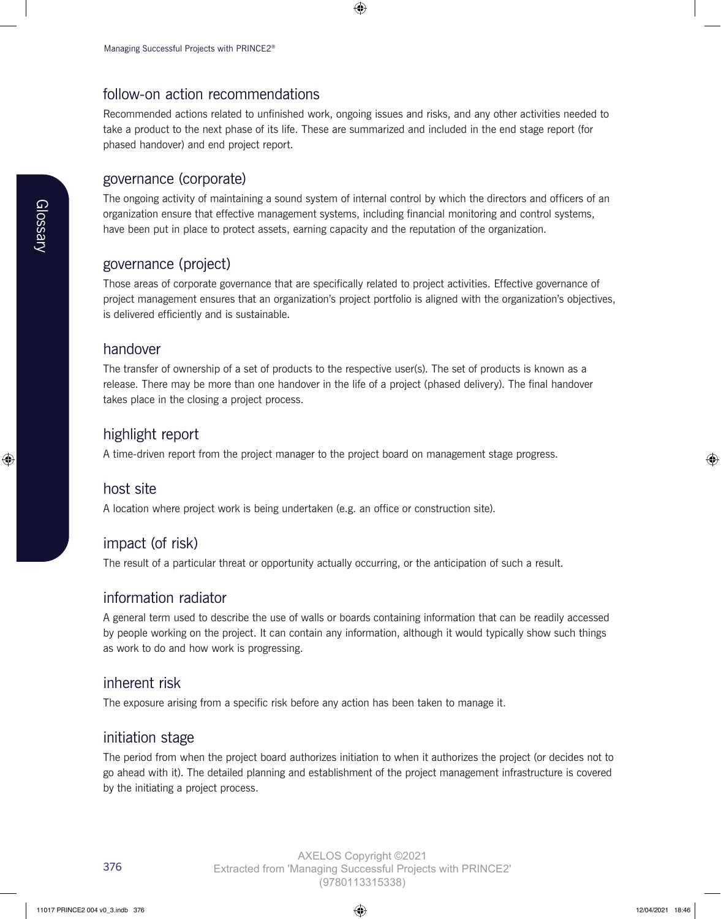# follow-on action recommendations

Recommended actions related to unfinished work, ongoing issues and risks, and any other activities needed to take a product to the next phase of its life. These are summarized and included in the end stage report (for phased handover) and end project report.

## governance (corporate)

The ongoing activity of maintaining a sound system of internal control by which the directors and officers of an organization ensure that effective management systems, including financial monitoring and control systems, have been put in place to protect assets, earning capacity and the reputation of the organization.

# governance (project)

Those areas of corporate governance that are specifically related to project activities. Effective governance of project management ensures that an organization's project portfolio is aligned with the organization's objectives, is delivered efficiently and is sustainable.

#### handover

The transfer of ownership of a set of products to the respective user(s). The set of products is known as a release. There may be more than one handover in the life of a project (phased delivery). The final handover takes place in the closing a project process.

# highlight report

A time-driven report from the project manager to the project board on management stage progress.

## host site

A location where project work is being undertaken (e.g. an office or construction site).

# impact (of risk)

The result of a particular threat or opportunity actually occurring, or the anticipation of such a result.

## information radiator

A general term used to describe the use of walls or boards containing information that can be readily accessed by people working on the project. It can contain any information, although it would typically show such things as work to do and how work is progressing.

## inherent risk

The exposure arising from a specific risk before any action has been taken to manage it.

## initiation stage

The period from when the project board authorizes initiation to when it authorizes the project (or decides not to go ahead with it). The detailed planning and establishment of the project management infrastructure is covered by the initiating a project process.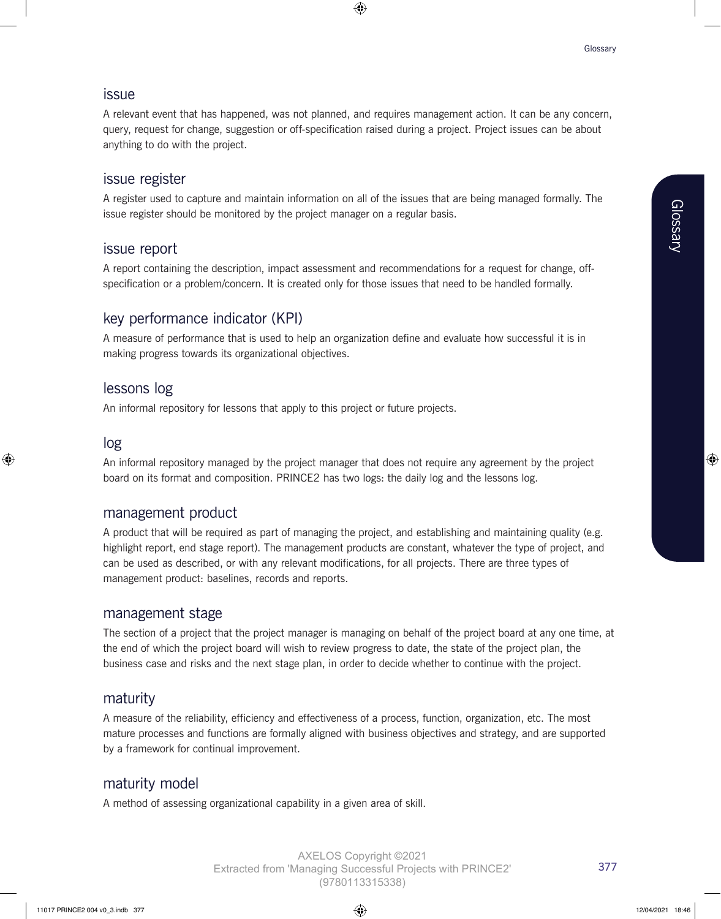Glossary

#### issue

A relevant event that has happened, was not planned, and requires management action. It can be any concern, query, request for change, suggestion or off-specification raised during a project. Project issues can be about anything to do with the project.

## issue register

A register used to capture and maintain information on all of the issues that are being managed formally. The issue register should be monitored by the project manager on a regular basis.

## issue report

A report containing the description, impact assessment and recommendations for a request for change, offspecification or a problem/concern. It is created only for those issues that need to be handled formally.

# key performance indicator (KPI)

A measure of performance that is used to help an organization define and evaluate how successful it is in making progress towards its organizational objectives.

## lessons log

An informal repository for lessons that apply to this project or future projects.

## log

An informal repository managed by the project manager that does not require any agreement by the project board on its format and composition. PRINCE2 has two logs: the daily log and the lessons log.

## management product

A product that will be required as part of managing the project, and establishing and maintaining quality (e.g. highlight report, end stage report). The management products are constant, whatever the type of project, and can be used as described, or with any relevant modifications, for all projects. There are three types of management product: baselines, records and reports.

#### management stage

The section of a project that the project manager is managing on behalf of the project board at any one time, at the end of which the project board will wish to review progress to date, the state of the project plan, the business case and risks and the next stage plan, in order to decide whether to continue with the project.

## maturity

A measure of the reliability, efficiency and effectiveness of a process, function, organization, etc. The most mature processes and functions are formally aligned with business objectives and strategy, and are supported by a framework for continual improvement.

# maturity model

A method of assessing organizational capability in a given area of skill.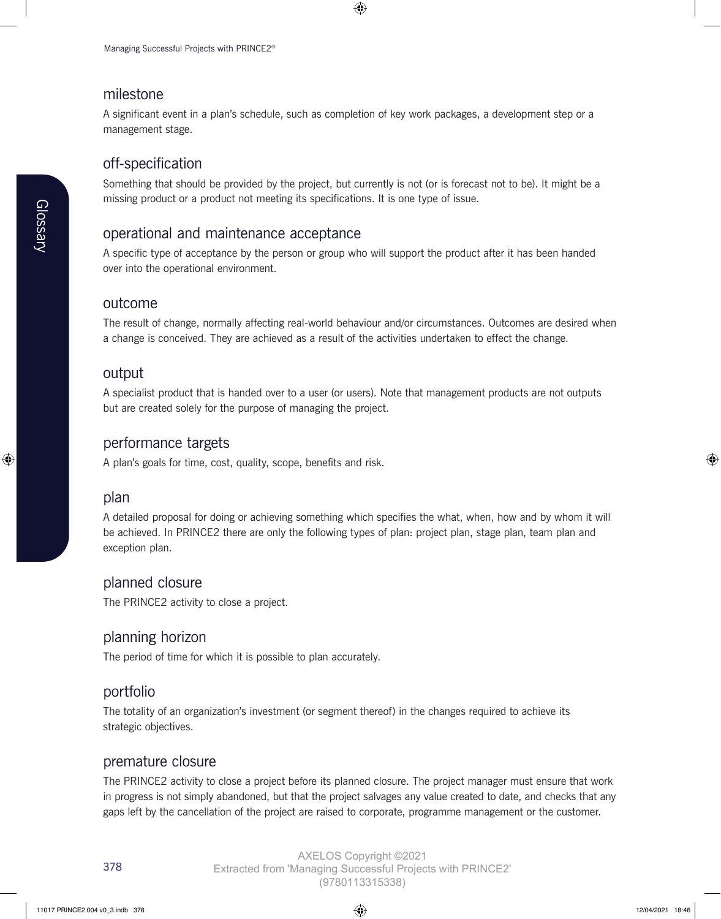### milestone

A significant event in a plan's schedule, such as completion of key work packages, a development step or a management stage.

## off-specification

Something that should be provided by the project, but currently is not (or is forecast not to be). It might be a missing product or a product not meeting its specifications. It is one type of issue.

#### operational and maintenance acceptance

A specific type of acceptance by the person or group who will support the product after it has been handed over into the operational environment.

#### outcome

The result of change, normally affecting real-world behaviour and/or circumstances. Outcomes are desired when a change is conceived. They are achieved as a result of the activities undertaken to effect the change.

#### output

A specialist product that is handed over to a user (or users). Note that management products are not outputs but are created solely for the purpose of managing the project.

#### performance targets

A plan's goals for time, cost, quality, scope, benefits and risk.

#### plan

A detailed proposal for doing or achieving something which specifies the what, when, how and by whom it will be achieved. In PRINCE2 there are only the following types of plan: project plan, stage plan, team plan and exception plan.

#### planned closure

The PRINCE2 activity to close a project.

### planning horizon

The period of time for which it is possible to plan accurately.

## portfolio

The totality of an organization's investment (or segment thereof) in the changes required to achieve its strategic objectives.

#### premature closure

The PRINCE2 activity to close a project before its planned closure. The project manager must ensure that work in progress is not simply abandoned, but that the project salvages any value created to date, and checks that any gaps left by the cancellation of the project are raised to corporate, programme management or the customer.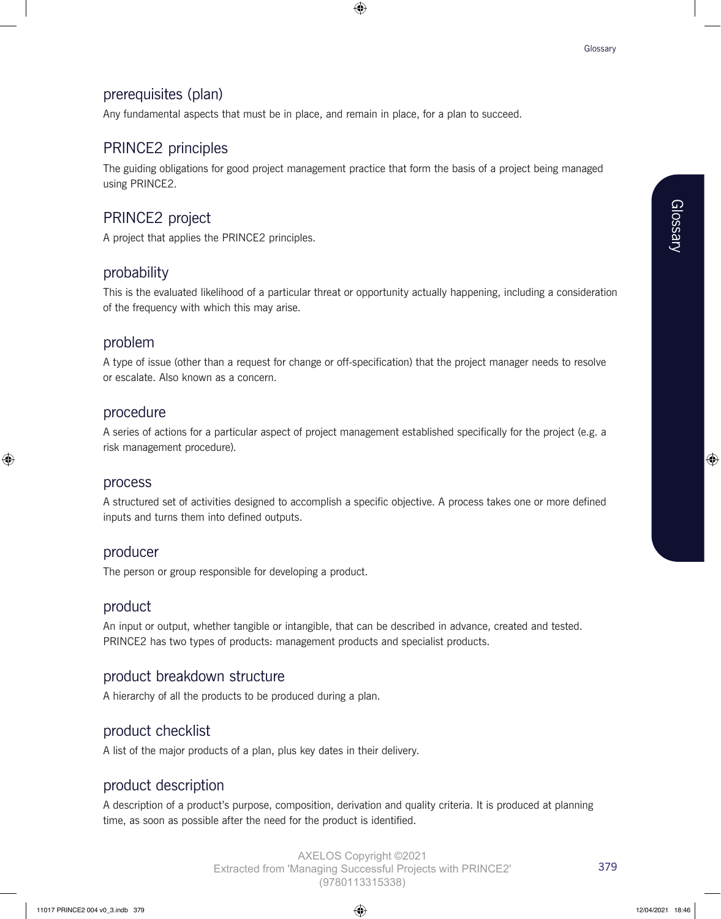# prerequisites (plan)

Any fundamental aspects that must be in place, and remain in place, for a plan to succeed.

# PRINCE2 principles

The guiding obligations for good project management practice that form the basis of a project being managed using PRINCE2.

# PRINCE2 project

A project that applies the PRINCE2 principles.

# probability

This is the evaluated likelihood of a particular threat or opportunity actually happening, including a consideration of the frequency with which this may arise.

# problem

A type of issue (other than a request for change or off-specification) that the project manager needs to resolve or escalate. Also known as a concern.

# procedure

A series of actions for a particular aspect of project management established specifically for the project (e.g. a risk management procedure).

## process

A structured set of activities designed to accomplish a specific objective. A process takes one or more defined inputs and turns them into defined outputs.

# producer

The person or group responsible for developing a product.

# product

An input or output, whether tangible or intangible, that can be described in advance, created and tested. PRINCE2 has two types of products: management products and specialist products.

# product breakdown structure

A hierarchy of all the products to be produced during a plan.

# product checklist

A list of the major products of a plan, plus key dates in their delivery.

# product description

A description of a product's purpose, composition, derivation and quality criteria. It is produced at planning time, as soon as possible after the need for the product is identified.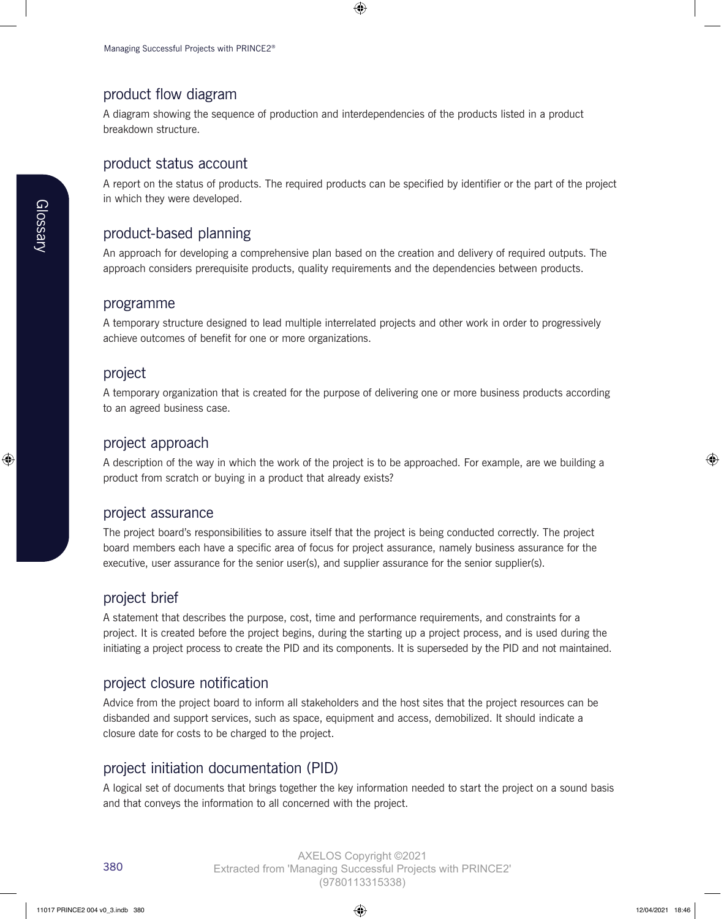# product flow diagram

A diagram showing the sequence of production and interdependencies of the products listed in a product breakdown structure.

#### product status account

A report on the status of products. The required products can be specified by identifier or the part of the project in which they were developed.

## product-based planning

An approach for developing a comprehensive plan based on the creation and delivery of required outputs. The approach considers prerequisite products, quality requirements and the dependencies between products.

#### programme

A temporary structure designed to lead multiple interrelated projects and other work in order to progressively achieve outcomes of benefit for one or more organizations.

#### project

A temporary organization that is created for the purpose of delivering one or more business products according to an agreed business case.

#### project approach

A description of the way in which the work of the project is to be approached. For example, are we building a product from scratch or buying in a product that already exists?

#### project assurance

The project board's responsibilities to assure itself that the project is being conducted correctly. The project board members each have a specific area of focus for project assurance, namely business assurance for the executive, user assurance for the senior user(s), and supplier assurance for the senior supplier(s).

#### project brief

A statement that describes the purpose, cost, time and performance requirements, and constraints for a project. It is created before the project begins, during the starting up a project process, and is used during the initiating a project process to create the PID and its components. It is superseded by the PID and not maintained.

#### project closure notification

Advice from the project board to inform all stakeholders and the host sites that the project resources can be disbanded and support services, such as space, equipment and access, demobilized. It should indicate a closure date for costs to be charged to the project.

#### project initiation documentation (PID)

A logical set of documents that brings together the key information needed to start the project on a sound basis and that conveys the information to all concerned with the project.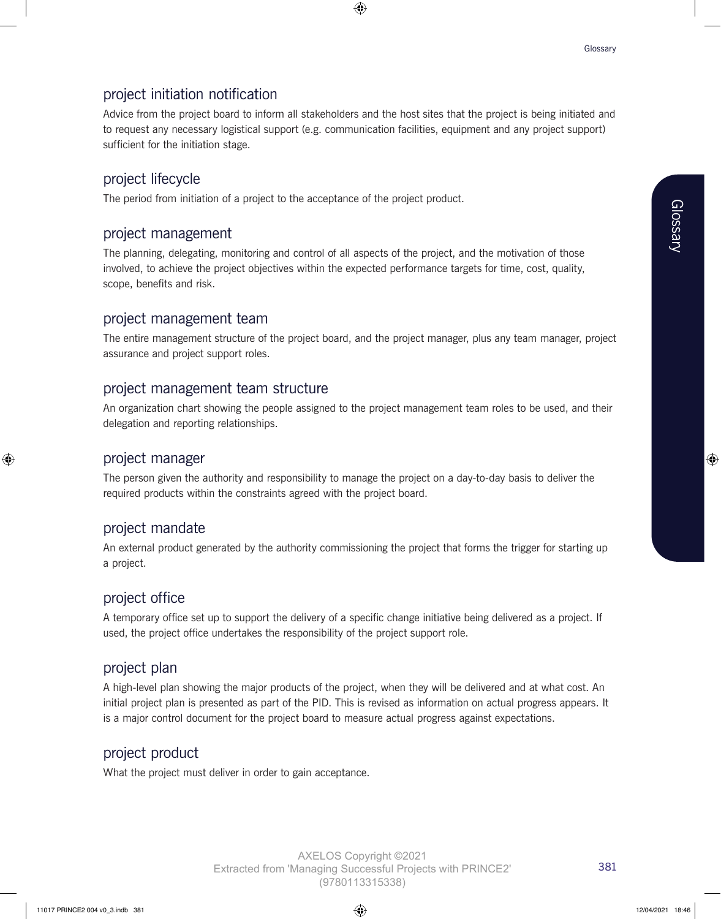# project initiation notification

Advice from the project board to inform all stakeholders and the host sites that the project is being initiated and to request any necessary logistical support (e.g. communication facilities, equipment and any project support) sufficient for the initiation stage.

# project lifecycle

The period from initiation of a project to the acceptance of the project product.

# project management

The planning, delegating, monitoring and control of all aspects of the project, and the motivation of those involved, to achieve the project objectives within the expected performance targets for time, cost, quality, scope, benefits and risk.

# project management team

The entire management structure of the project board, and the project manager, plus any team manager, project assurance and project support roles.

# project management team structure

An organization chart showing the people assigned to the project management team roles to be used, and their delegation and reporting relationships.

# project manager

The person given the authority and responsibility to manage the project on a day-to-day basis to deliver the required products within the constraints agreed with the project board.

# project mandate

An external product generated by the authority commissioning the project that forms the trigger for starting up a project.

# project office

A temporary office set up to support the delivery of a specific change initiative being delivered as a project. If used, the project office undertakes the responsibility of the project support role.

# project plan

A high-level plan showing the major products of the project, when they will be delivered and at what cost. An initial project plan is presented as part of the PID. This is revised as information on actual progress appears. It is a major control document for the project board to measure actual progress against expectations.

# project product

What the project must deliver in order to gain acceptance.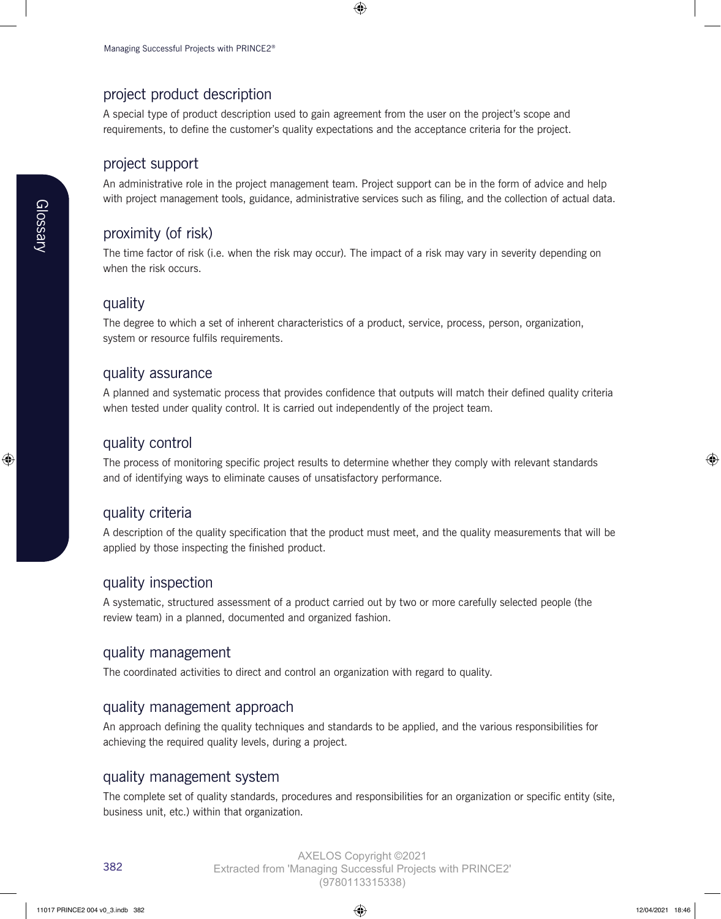# project product description

A special type of product description used to gain agreement from the user on the project's scope and requirements, to define the customer's quality expectations and the acceptance criteria for the project.

#### project support

An administrative role in the project management team. Project support can be in the form of advice and help with project management tools, guidance, administrative services such as filing, and the collection of actual data.

# proximity (of risk)

The time factor of risk (i.e. when the risk may occur). The impact of a risk may vary in severity depending on when the risk occurs.

## quality

The degree to which a set of inherent characteristics of a product, service, process, person, organization, system or resource fulfils requirements.

#### quality assurance

A planned and systematic process that provides confidence that outputs will match their defined quality criteria when tested under quality control. It is carried out independently of the project team.

#### quality control

The process of monitoring specific project results to determine whether they comply with relevant standards and of identifying ways to eliminate causes of unsatisfactory performance.

#### quality criteria

A description of the quality specification that the product must meet, and the quality measurements that will be applied by those inspecting the finished product.

#### quality inspection

A systematic, structured assessment of a product carried out by two or more carefully selected people (the review team) in a planned, documented and organized fashion.

#### quality management

The coordinated activities to direct and control an organization with regard to quality.

#### quality management approach

An approach defining the quality techniques and standards to be applied, and the various responsibilities for achieving the required quality levels, during a project.

#### quality management system

382

The complete set of quality standards, procedures and responsibilities for an organization or specific entity (site, business unit, etc.) within that organization.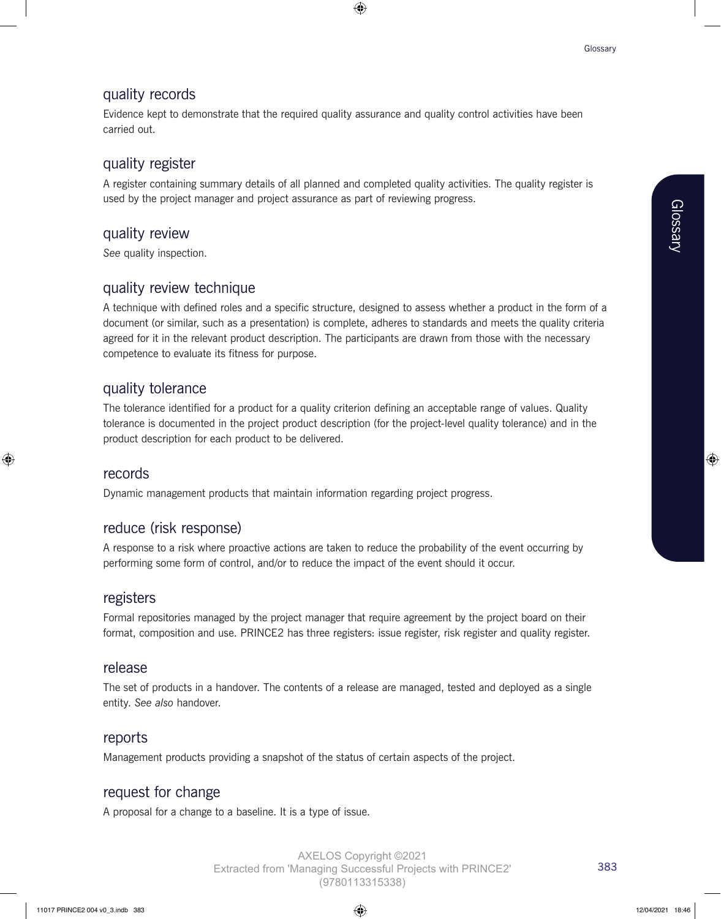# quality records

Evidence kept to demonstrate that the required quality assurance and quality control activities have been carried out.

# quality register

A register containing summary details of all planned and completed quality activities. The quality register is used by the project manager and project assurance as part of reviewing progress.

# quality review

*See* quality inspection.

# quality review technique

A technique with defined roles and a specific structure, designed to assess whether a product in the form of a document (or similar, such as a presentation) is complete, adheres to standards and meets the quality criteria agreed for it in the relevant product description. The participants are drawn from those with the necessary competence to evaluate its fitness for purpose.

# quality tolerance

The tolerance identified for a product for a quality criterion defining an acceptable range of values. Quality tolerance is documented in the project product description (for the project-level quality tolerance) and in the product description for each product to be delivered.

## records

Dynamic management products that maintain information regarding project progress.

# reduce (risk response)

A response to a risk where proactive actions are taken to reduce the probability of the event occurring by performing some form of control, and/or to reduce the impact of the event should it occur.

## registers

Formal repositories managed by the project manager that require agreement by the project board on their format, composition and use. PRINCE2 has three registers: issue register, risk register and quality register.

#### release

The set of products in a handover. The contents of a release are managed, tested and deployed as a single entity. *See also* handover.

## reports

Management products providing a snapshot of the status of certain aspects of the project.

# request for change

A proposal for a change to a baseline. It is a type of issue.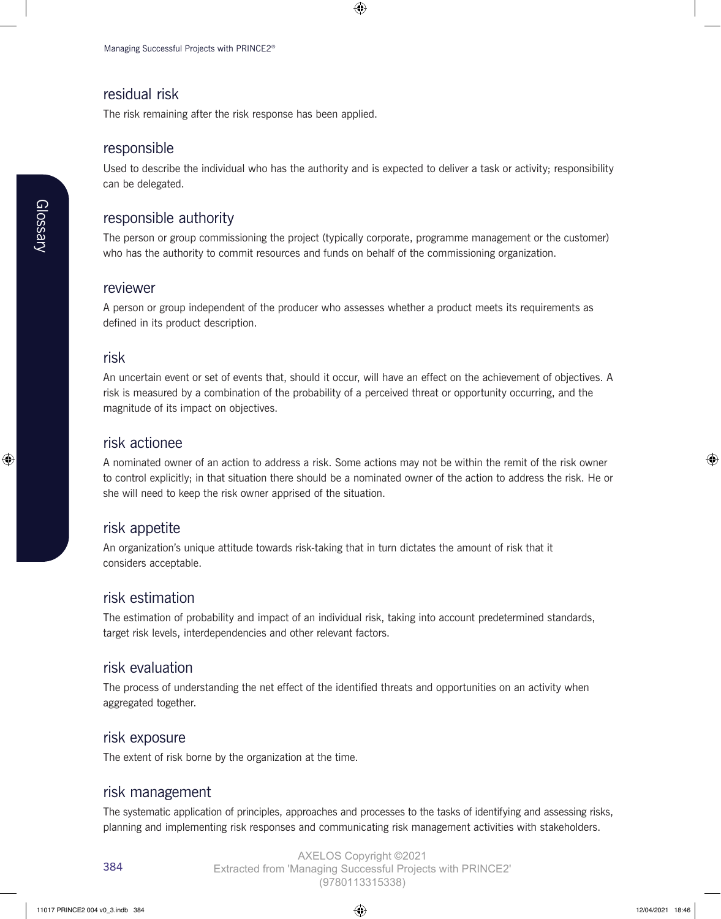# residual risk

The risk remaining after the risk response has been applied.

#### responsible

Used to describe the individual who has the authority and is expected to deliver a task or activity; responsibility can be delegated.

#### responsible authority

The person or group commissioning the project (typically corporate, programme management or the customer) who has the authority to commit resources and funds on behalf of the commissioning organization.

#### reviewer

A person or group independent of the producer who assesses whether a product meets its requirements as defined in its product description.

#### risk

An uncertain event or set of events that, should it occur, will have an effect on the achievement of objectives. A risk is measured by a combination of the probability of a perceived threat or opportunity occurring, and the magnitude of its impact on objectives.

## risk actionee

A nominated owner of an action to address a risk. Some actions may not be within the remit of the risk owner to control explicitly; in that situation there should be a nominated owner of the action to address the risk. He or she will need to keep the risk owner apprised of the situation.

#### risk appetite

An organization's unique attitude towards risk-taking that in turn dictates the amount of risk that it considers acceptable.

## risk estimation

The estimation of probability and impact of an individual risk, taking into account predetermined standards, target risk levels, interdependencies and other relevant factors.

## risk evaluation

The process of understanding the net effect of the identified threats and opportunities on an activity when aggregated together.

#### risk exposure

The extent of risk borne by the organization at the time.

#### risk management

The systematic application of principles, approaches and processes to the tasks of identifying and assessing risks, planning and implementing risk responses and communicating risk management activities with stakeholders.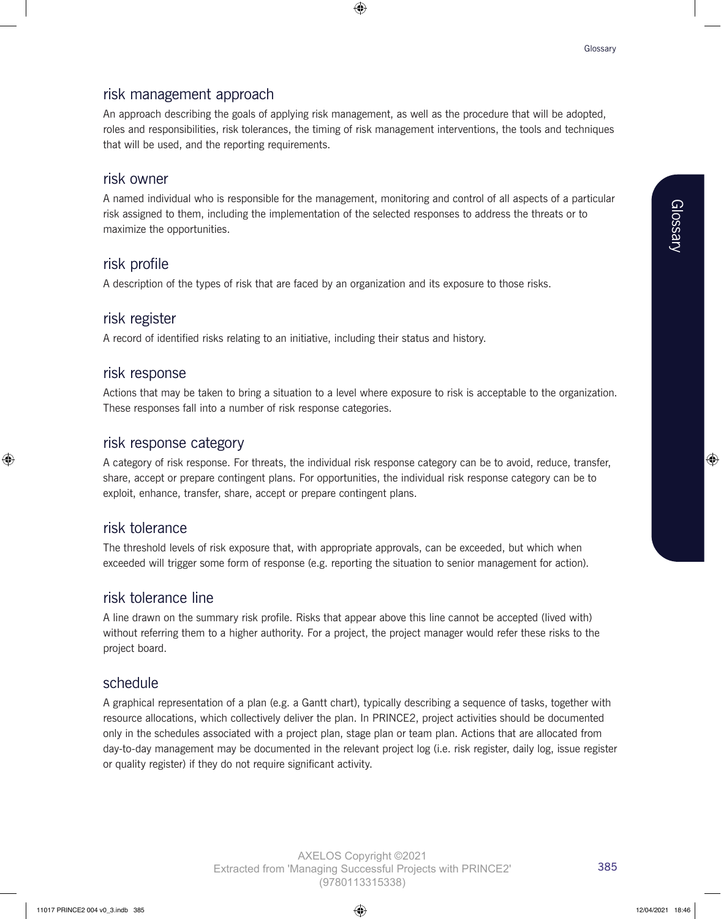# risk management approach

An approach describing the goals of applying risk management, as well as the procedure that will be adopted, roles and responsibilities, risk tolerances, the timing of risk management interventions, the tools and techniques that will be used, and the reporting requirements.

## risk owner

A named individual who is responsible for the management, monitoring and control of all aspects of a particular risk assigned to them, including the implementation of the selected responses to address the threats or to maximize the opportunities.

# risk profile

A description of the types of risk that are faced by an organization and its exposure to those risks.

# risk register

A record of identified risks relating to an initiative, including their status and history.

## risk response

Actions that may be taken to bring a situation to a level where exposure to risk is acceptable to the organization. These responses fall into a number of risk response categories.

# risk response category

A category of risk response. For threats, the individual risk response category can be to avoid, reduce, transfer, share, accept or prepare contingent plans. For opportunities, the individual risk response category can be to exploit, enhance, transfer, share, accept or prepare contingent plans.

# risk tolerance

The threshold levels of risk exposure that, with appropriate approvals, can be exceeded, but which when exceeded will trigger some form of response (e.g. reporting the situation to senior management for action).

# risk tolerance line

A line drawn on the summary risk profile. Risks that appear above this line cannot be accepted (lived with) without referring them to a higher authority. For a project, the project manager would refer these risks to the project board.

# schedule

A graphical representation of a plan (e.g. a Gantt chart), typically describing a sequence of tasks, together with resource allocations, which collectively deliver the plan. In PRINCE2, project activities should be documented only in the schedules associated with a project plan, stage plan or team plan. Actions that are allocated from day-to-day management may be documented in the relevant project log (i.e. risk register, daily log, issue register or quality register) if they do not require significant activity.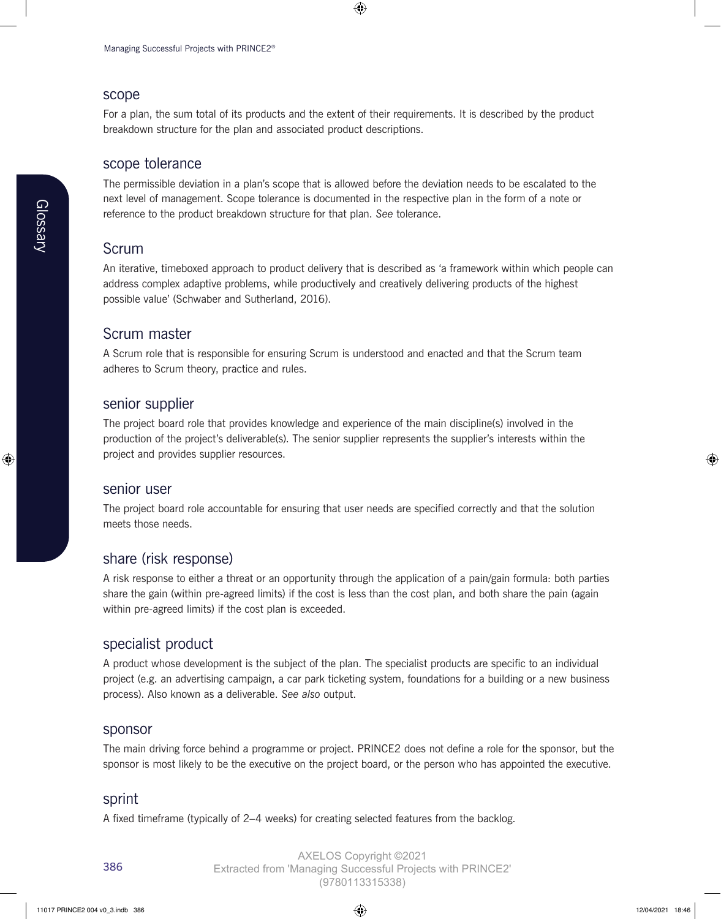#### scope

For a plan, the sum total of its products and the extent of their requirements. It is described by the product breakdown structure for the plan and associated product descriptions.

#### scope tolerance

The permissible deviation in a plan's scope that is allowed before the deviation needs to be escalated to the next level of management. Scope tolerance is documented in the respective plan in the form of a note or reference to the product breakdown structure for that plan. *See* tolerance.

#### Scrum

An iterative, timeboxed approach to product delivery that is described as 'a framework within which people can address complex adaptive problems, while productively and creatively delivering products of the highest possible value' (Schwaber and Sutherland, 2016).

#### Scrum master

A Scrum role that is responsible for ensuring Scrum is understood and enacted and that the Scrum team adheres to Scrum theory, practice and rules.

#### senior supplier

The project board role that provides knowledge and experience of the main discipline(s) involved in the production of the project's deliverable(s). The senior supplier represents the supplier's interests within the project and provides supplier resources.

#### senior user

The project board role accountable for ensuring that user needs are specified correctly and that the solution meets those needs.

#### share (risk response)

A risk response to either a threat or an opportunity through the application of a pain/gain formula: both parties share the gain (within pre-agreed limits) if the cost is less than the cost plan, and both share the pain (again within pre-agreed limits) if the cost plan is exceeded.

#### specialist product

A product whose development is the subject of the plan. The specialist products are specific to an individual project (e.g. an advertising campaign, a car park ticketing system, foundations for a building or a new business process). Also known as a deliverable. *See also* output.

#### sponsor

The main driving force behind a programme or project. PRINCE2 does not define a role for the sponsor, but the sponsor is most likely to be the executive on the project board, or the person who has appointed the executive.

#### sprint

A fixed timeframe (typically of 2–4 weeks) for creating selected features from the backlog.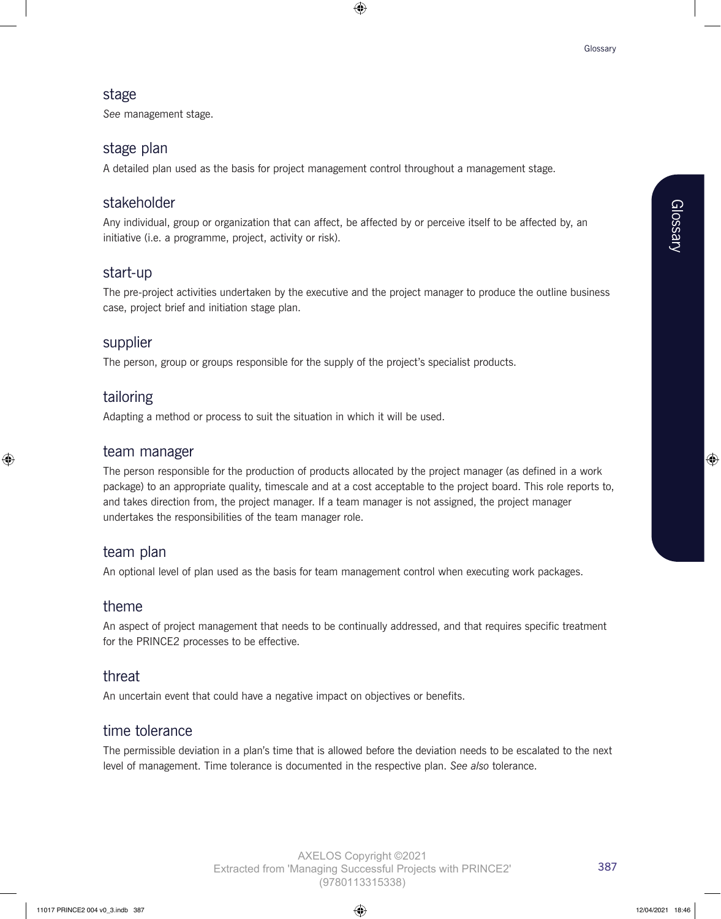# stage

*See* management stage.

# stage plan

A detailed plan used as the basis for project management control throughout a management stage.

# stakeholder

Any individual, group or organization that can affect, be affected by or perceive itself to be affected by, an initiative (i.e. a programme, project, activity or risk).

# start-up

The pre-project activities undertaken by the executive and the project manager to produce the outline business case, project brief and initiation stage plan.

# supplier

The person, group or groups responsible for the supply of the project's specialist products.

# tailoring

Adapting a method or process to suit the situation in which it will be used.

### team manager

The person responsible for the production of products allocated by the project manager (as defined in a work package) to an appropriate quality, timescale and at a cost acceptable to the project board. This role reports to, and takes direction from, the project manager. If a team manager is not assigned, the project manager undertakes the responsibilities of the team manager role.

# team plan

An optional level of plan used as the basis for team management control when executing work packages.

## theme

An aspect of project management that needs to be continually addressed, and that requires specific treatment for the PRINCE2 processes to be effective.

## threat

An uncertain event that could have a negative impact on objectives or benefits.

# time tolerance

The permissible deviation in a plan's time that is allowed before the deviation needs to be escalated to the next level of management. Time tolerance is documented in the respective plan. *See also* tolerance.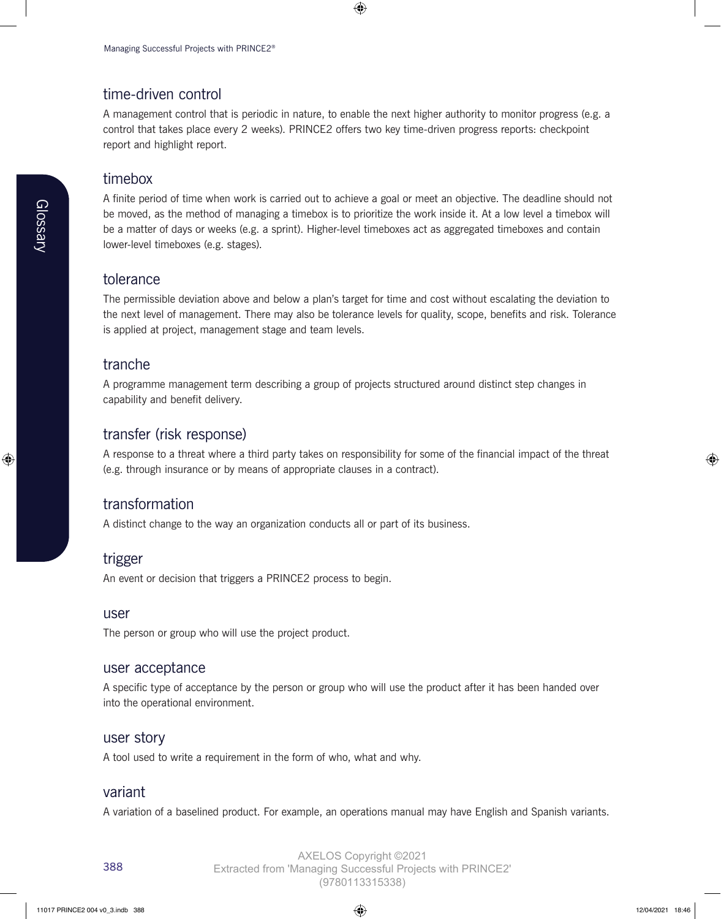## time-driven control

A management control that is periodic in nature, to enable the next higher authority to monitor progress (e.g. a control that takes place every 2 weeks). PRINCE2 offers two key time-driven progress reports: checkpoint report and highlight report.

#### timebox

A finite period of time when work is carried out to achieve a goal or meet an objective. The deadline should not be moved, as the method of managing a timebox is to prioritize the work inside it. At a low level a timebox will be a matter of days or weeks (e.g. a sprint). Higher-level timeboxes act as aggregated timeboxes and contain lower-level timeboxes (e.g. stages).

#### tolerance

The permissible deviation above and below a plan's target for time and cost without escalating the deviation to the next level of management. There may also be tolerance levels for quality, scope, benefits and risk. Tolerance is applied at project, management stage and team levels.

#### tranche

A programme management term describing a group of projects structured around distinct step changes in capability and benefit delivery.

### transfer (risk response)

A response to a threat where a third party takes on responsibility for some of the financial impact of the threat (e.g. through insurance or by means of appropriate clauses in a contract).

#### transformation

A distinct change to the way an organization conducts all or part of its business.

#### trigger

An event or decision that triggers a PRINCE2 process to begin.

#### user

The person or group who will use the project product.

#### user acceptance

A specific type of acceptance by the person or group who will use the product after it has been handed over into the operational environment.

#### user story

A tool used to write a requirement in the form of who, what and why.

#### variant

A variation of a baselined product. For example, an operations manual may have English and Spanish variants.